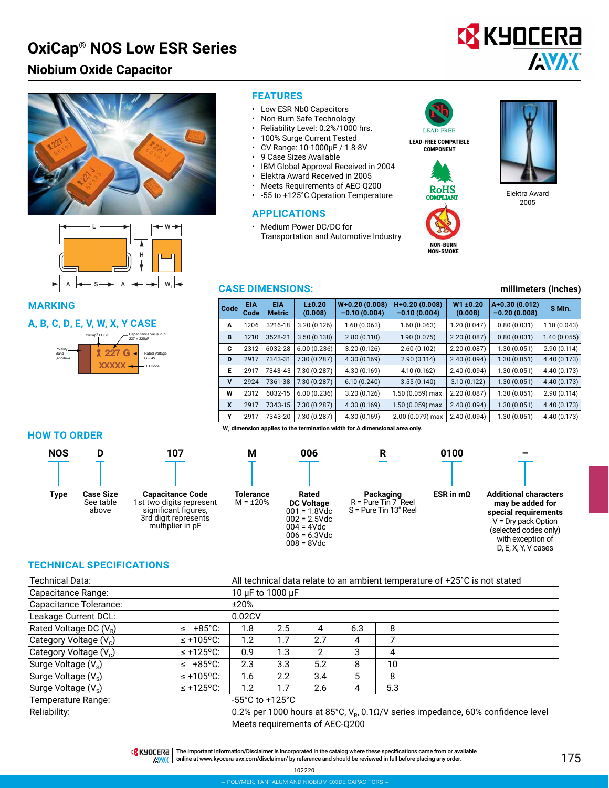# **Niobium Oxide Capacitor**







#### **MARKING**

#### **A, B, C, D, E, V, W, X, Y CASE**



#### **FEATURES**

- Low ESR Nb0 Capacitors
- Non-Burn Safe Technology
- Reliability Level: 0.2%/1000 hrs.
- 100% Surge Current Tested
- CV Range: 10-1000μF / 1.8-8V
- 9 Case Sizes Available
- IBM Global Approval Received in 2004
- Elektra Award Received in 2005
- Meets Requirements of AEC-Q200
- -55 to +125°C Operation Temperature

#### **APPLICATIONS**

• Medium Power DC/DC for Transportation and Automotive Industry **I FAD-FREE** 

**LEAD-FREE COMPATIBLE COMPONENT**





**NON-BURN NON-SMOKE**



Elektra Award 2005

#### **CASE DIMENSIONS: millimeters (inches)**

| Code | <b>EIA</b><br>Code | <b>EIA</b><br><b>Metric</b> | L±0.20<br>(0.008) | $W+0.20(0.008)$<br>$-0.10(0.004)$ | $H+0.20(0.008)$<br>$-0.10(0.004)$ | W1 ±0.20<br>(0.008) | A+0.30 (0.012)<br>$-0.20(0.008)$ | S Min.       |
|------|--------------------|-----------------------------|-------------------|-----------------------------------|-----------------------------------|---------------------|----------------------------------|--------------|
| A    | 1206               | 3216-18                     | 3.20(0.126)       | 1.60(0.063)                       | 1.60 (0.063)                      | 1.20 (0.047)        | 0.80(0.031)                      | 1.10(0.043)  |
| B    | 1210               | 3528-21                     | 3.50(0.138)       | 2.80(0.110)                       | 1.90 (0.075)                      | 2.20(0.087)         | 0.80(0.031)                      | 1.40(0.055)  |
| C    | 2312               | 6032-28                     | 6.00(0.236)       | 3.20(0.126)                       | 2.60(0.102)                       | 2.20(0.087)         | 1.30(0.051)                      | 2.90 (0.114) |
| D    | 2917               | 7343-31                     | 7.30(0.287)       | 4.30(0.169)                       | 2.90(0.114)                       | 2.40(0.094)         | 1.30(0.051)                      | 4.40 (0.173) |
| Е    | 2917               | 7343-43                     | 7.30(0.287)       | 4.30 (0.169)                      | 4.10 (0.162)                      | 2.40(0.094)         | 1.30(0.051)                      | 4.40 (0.173) |
| v    | 2924               | 7361-38                     | 7.30(0.287)       | 6.10(0.240)                       | 3.55(0.140)                       | 3.10(0.122)         | 1.30(0.051)                      | 4.40 (0.173) |
| W    | 2312               | 6032-15                     | 6.00(0.236)       | 3.20(0.126)                       | 1.50 (0.059) max.                 | 2.20(0.087)         | 1.30(0.051)                      | 2.90(0.114)  |
| X    | 2917               | 7343-15                     | 7.30(0.287)       | 4.30(0.169)                       | 1.50 (0.059) max.                 | 2.40(0.094)         | 1.30(0.051)                      | 4.40 (0.173) |
| Υ    | 2917               | 7343-20                     | 7.30(0.287)       | 4.30 (0.169)                      | 2.00 (0.079) max                  | 2.40(0.094)         | 1.30 (0.051)                     | 4.40 (0.173) |

#### **HOW TO ORDER**



**107**

# W<sub>1</sub> dimension applies to the termination width for A dimensional area only.

| <b>NOS</b> | D                                      | 107                                                                                                                     | М                           | 006                                                                                                                 | К                                                              | 0100             |                                                                                                                                                                        |  |  |
|------------|----------------------------------------|-------------------------------------------------------------------------------------------------------------------------|-----------------------------|---------------------------------------------------------------------------------------------------------------------|----------------------------------------------------------------|------------------|------------------------------------------------------------------------------------------------------------------------------------------------------------------------|--|--|
|            |                                        |                                                                                                                         |                             |                                                                                                                     |                                                                |                  |                                                                                                                                                                        |  |  |
| Type       | <b>Case Size</b><br>See table<br>above | <b>Capacitance Code</b><br>1st two digits represent<br>significant figures.<br>3rd digit represents<br>multiplier in pF | Tolerance<br>$M = \pm 20\%$ | Rated<br><b>DC Voltage</b><br>$001 = 1.8$ Vdc<br>$002 = 2.5$ Vdc<br>$004 = 4Vdc$<br>$006 = 6.3$ Vdc<br>$008 = 8Vdc$ | Packaging<br>$R =$ Pure Tin $7r$ Reel<br>S = Pure Tin 13" Reel | ESR in $m\Omega$ | <b>Additional characters</b><br>may be added for<br>special requirements<br>$V = Dry$ pack Option<br>(selected codes only)<br>with exception of<br>D, E, X, Y, V cases |  |  |

#### **TECHNICAL SPECIFICATIONS**

| <b>Technical Data:</b>             |                | All technical data relate to an ambient temperature of +25°C is not stated           |     |               |     |     |  |  |  |  |
|------------------------------------|----------------|--------------------------------------------------------------------------------------|-----|---------------|-----|-----|--|--|--|--|
| Capacitance Range:                 |                | 10 µF to 1000 µF                                                                     |     |               |     |     |  |  |  |  |
| Capacitance Tolerance:             |                | ±20%                                                                                 |     |               |     |     |  |  |  |  |
| Leakage Current DCL:               |                | 0.02CV                                                                               |     |               |     |     |  |  |  |  |
| Rated Voltage DC $(V_R)$           | $\leq$ +85°C:  | 1.8                                                                                  | 2.5 | 4             | 6.3 | 8   |  |  |  |  |
| Category Voltage (V <sub>c</sub> ) | $\leq$ +105°C: | 1.2                                                                                  | 1.7 | 2.7           | 4   | 7   |  |  |  |  |
| Category Voltage (V <sub>c</sub> ) | $\leq$ +125°C: | 0.9                                                                                  | 1.3 | $\mathcal{P}$ | 3   | 4   |  |  |  |  |
| Surge Voltage $(V_s)$              | $\leq$ +85°C:  | 2.3                                                                                  | 3.3 | 5.2           | 8   | 10  |  |  |  |  |
| Surge Voltage $(V_s)$              | $\leq$ +105°C: | 1.6                                                                                  | 2.2 | 3.4           | 5   | 8   |  |  |  |  |
| Surge Voltage (V <sub>s</sub> )    | $\leq$ +125°C: | 1.2                                                                                  | 1.7 | 2.6           | 4   | 5.3 |  |  |  |  |
| Temperature Range:                 |                | $-55^{\circ}$ C to $+125^{\circ}$ C                                                  |     |               |     |     |  |  |  |  |
| Reliability:                       |                | 0.2% per 1000 hours at 85°C, $V_{R}$ , 0.10/V series impedance, 60% confidence level |     |               |     |     |  |  |  |  |
| Meets requirements of AEC-0200     |                |                                                                                      |     |               |     |     |  |  |  |  |

THE Important Information/Disclaimer is incorporated in the catalog where these specifications came from or available **AVAK** online at [www.kyocera-avx.com/disclaimer/](http://www.avx.com/disclaimer/) by reference and should be reviewed in full before placing any order.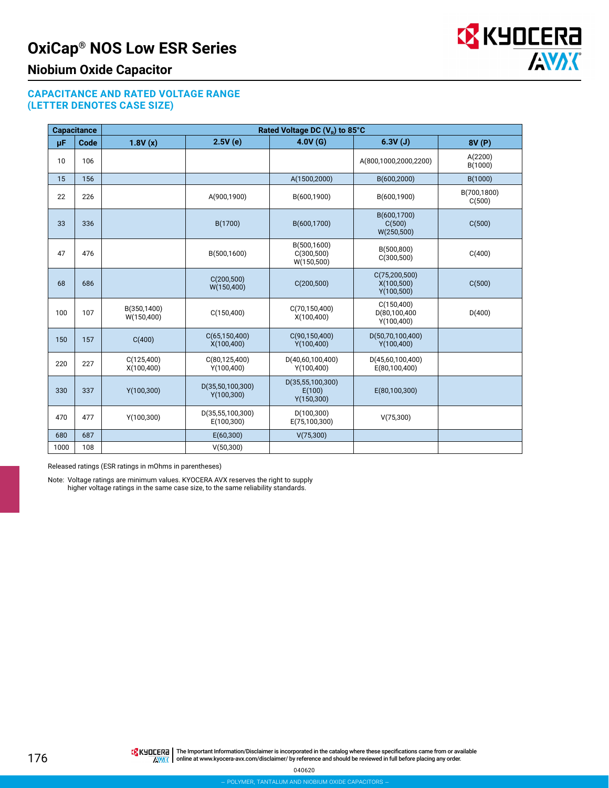

### **Niobium Oxide Capacitor**

#### **CAPACITANCE AND RATED VOLTAGE RANGE (LETTER DENOTES CASE SIZE)**

|      | <b>Capacitance</b> |                            |                                 | Rated Voltage DC (V <sub>p</sub> ) to 85°C |                                               |                       |
|------|--------------------|----------------------------|---------------------------------|--------------------------------------------|-----------------------------------------------|-----------------------|
| μF   | <b>Code</b>        | 1.8V(x)                    | 2.5V(e)                         | 4.0V(G)                                    | 6.3V(J)                                       | 8V (P)                |
| 10   | 106                |                            |                                 |                                            | A(800,1000,2000,2200)                         | A(2200)<br>B(1000)    |
| 15   | 156                |                            |                                 | A(1500,2000)                               | B(600,2000)                                   | B(1000)               |
| 22   | 226                |                            | A(900,1900)                     | B(600,1900)                                | B(600,1900)                                   | B(700,1800)<br>C(500) |
| 33   | 336                |                            | B(1700)                         | B(600,1700)                                | B(600,1700)<br>C(500)<br>W(250,500)           | C(500)                |
| 47   | 476                |                            | B(500,1600)                     | B(500,1600)<br>C(300, 500)<br>W(150,500)   | B(500,800)<br>C(300, 500)                     | C(400)                |
| 68   | 686                |                            | C(200, 500)<br>W(150,400)       | C(200, 500)                                | C(75, 200, 500)<br>X(100, 500)<br>Y(100, 500) | C(500)                |
| 100  | 107                | B(350,1400)<br>W(150, 400) | C(150, 400)                     | C(70, 150, 400)<br>X(100, 400)             | C(150, 400)<br>D(80,100,400<br>Y(100, 400)    | D(400)                |
| 150  | 157                | C(400)                     | C(65, 150, 400)<br>X(100, 400)  | C(90, 150, 400)<br>Y(100, 400)             | D(50,70,100,400)<br>Y(100, 400)               |                       |
| 220  | 227                | C(125,400)<br>X(100, 400)  | C(80, 125, 400)<br>Y(100, 400)  | D(40,60,100,400)<br>Y(100, 400)            | D(45,60,100,400)<br>E(80,100,400)             |                       |
| 330  | 337                | Y(100, 300)                | D(35,50,100,300)<br>Y(100, 300) | D(35,55,100,300)<br>E(100)<br>Y(150,300)   | E(80,100,300)                                 |                       |
| 470  | 477                | Y(100, 300)                | D(35,55,100,300)<br>E(100,300)  | D(100, 300)<br>E(75,100,300)               | V(75,300)                                     |                       |
| 680  | 687                |                            | E(60,300)                       | V(75,300)                                  |                                               |                       |
| 1000 | 108                |                            | V(50,300)                       |                                            |                                               |                       |

Released ratings (ESR ratings in mOhms in parentheses)

Note: Voltage ratings are minimum values. KYOCERA AVX reserves the right to supply higher voltage ratings in the same case size, to the same reliability standards.

040620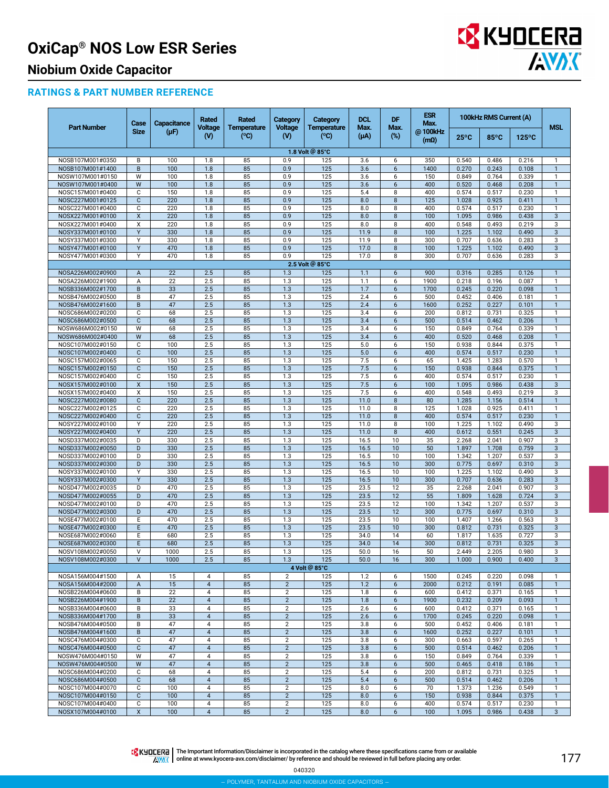

# **Niobium Oxide Capacitor**

#### **RATINGS & PART NUMBER REFERENCE**

|                                      | Case           | Capacitance | Rated                            | Rated                      | Category                       | Category                  | <b>DCL</b><br>Max. | DF             | <b>ESR</b><br>Max.     | 100kHz RMS Current (A) |                |                 |                              |
|--------------------------------------|----------------|-------------|----------------------------------|----------------------------|--------------------------------|---------------------------|--------------------|----------------|------------------------|------------------------|----------------|-----------------|------------------------------|
| <b>Part Number</b>                   | <b>Size</b>    | $(\mu F)$   | <b>Voltage</b><br>$\mathbf{w}$   | <b>Temperature</b><br>(°C) | <b>Voltage</b><br>$\mathbf{w}$ | <b>Temperature</b><br>(C) | $(\mu A)$          | Max.<br>$(\%)$ | @100kHz<br>$(m\Omega)$ | $25^{\circ}$ C         | 85°C           | $125^{\circ}$ C | <b>MSL</b>                   |
|                                      |                |             |                                  |                            |                                | 1.8 Volt @ 85°C           |                    |                |                        |                        |                |                 |                              |
| NOSB107M001#0350                     | В              | 100         | 1.8                              | 85                         | 0.9                            | 125                       | 3.6                | 6              | 350                    | 0.540                  | 0.486          | 0.216           | $\mathbf{1}$                 |
| NOSB107M001#1400                     | B              | 100         | 1.8                              | 85                         | 0.9                            | 125                       | 3.6                | 6              | 1400                   | 0.270                  | 0.243          | 0.108           | $\overline{1}$               |
| NOSW107M001#0150                     | W              | 100         | 1.8                              | 85                         | 0.9                            | 125                       | 3.6                | 6              | 150                    | 0.849                  | 0.764          | 0.339           | $\mathbf{1}$                 |
| NOSW107M001#0400                     | W              | 100         | 1.8                              | 85                         | 0.9                            | 125                       | 3.6                | 6              | 400                    | 0.520                  | 0.468          | 0.208           | $\overline{1}$               |
| NOSC157M001#0400<br>NOSC227M001#0125 | C<br>C         | 150<br>220  | 1.8<br>1.8                       | 85<br>85                   | 0.9<br>0.9                     | 125<br>125                | 5.4<br>8.0         | 8<br>8         | 400<br>125             | 0.574<br>1.028         | 0.517<br>0.925 | 0.230<br>0.411  | $\mathbf{1}$<br>$\mathbf{1}$ |
| NOSC227M001#0400                     | С              | 220         | 1.8                              | 85                         | 0.9                            | 125                       | 8.0                | 8              | 400                    | 0.574                  | 0.517          | 0.230           | $\mathbf{1}$                 |
| NOSX227M001#0100                     | X              | 220         | 1.8                              | 85                         | 0.9                            | 125                       | 8.0                | 8              | 100                    | 1.095                  | 0.986          | 0.438           | 3                            |
| NOSX227M001#0400                     | X              | 220         | 1.8                              | 85                         | 0.9                            | 125                       | 8.0                | 8              | 400                    | 0.548                  | 0.493          | 0.219           | 3                            |
| NOSY337M001#0100                     | Υ              | 330         | 1.8                              | 85                         | 0.9                            | 125                       | 11.9               | 8              | 100                    | 1.225                  | 1.102          | 0.490           | 3                            |
| NOSY337M001#0300                     | Υ              | 330         | 1.8                              | 85                         | 0.9                            | 125                       | 11.9               | 8              | 300                    | 0.707                  | 0.636          | 0.283           | 3                            |
| NOSY477M001#0100                     | Υ              | 470         | 1.8                              | 85                         | 0.9                            | 125                       | 17.0               | 8              | 100                    | 1.225                  | 1.102          | 0.490           | $\sqrt{3}$                   |
| NOSY477M001#0300                     | Υ              | 470         | 1.8                              | 85                         | 0.9                            | 125                       | 17.0               | 8              | 300                    | 0.707                  | 0.636          | 0.283           | 3                            |
| NOSA226M002#0900                     |                |             |                                  | 85                         |                                | 2.5 Volt @ 85°C<br>125    |                    | 6              | 900                    | 0.316                  | 0.285          | 0.126           | $\overline{1}$               |
| NOSA226M002#1900                     | A<br>A         | 22<br>22    | 2.5<br>2.5                       | 85                         | 1.3<br>1.3                     | 125                       | 1.1<br>1.1         | 6              | 1900                   | 0.218                  | 0.196          | 0.087           | $\mathbf{1}$                 |
| NOSB336M002#1700                     | B              | 33          | 2.5                              | 85                         | 1.3                            | 125                       | 1.7                | 6              | 1700                   | 0.245                  | 0.220          | 0.098           | $\mathbf{1}$                 |
| NOSB476M002#0500                     | B              | 47          | 2.5                              | 85                         | 1.3                            | 125                       | 2.4                | 6              | 500                    | 0.452                  | 0.406          | 0.181           | $\mathbf{1}$                 |
| NOSB476M002#1600                     | B              | 47          | 2.5                              | 85                         | 1.3                            | 125                       | 2.4                | 6              | 1600                   | 0.252                  | 0.227          | 0.101           | $\mathbf{1}$                 |
| NOSC686M002#0200                     | С              | 68          | 2.5                              | 85                         | 1.3                            | 125                       | 3.4                | 6              | 200                    | 0.812                  | 0.731          | 0.325           | $\mathbf{1}$                 |
| NOSC686M002#0500                     | C              | 68          | 2.5                              | 85                         | 1.3                            | 125                       | 3.4                | 6              | 500                    | 0.514                  | 0.462          | 0.206           | $\overline{1}$               |
| NOSW686M002#0150                     | W              | 68          | 2.5                              | 85                         | 1.3                            | 125                       | 3.4                | 6              | 150                    | 0.849                  | 0.764          | 0.339           | $\mathbf{1}$                 |
| NOSW686M002#0400                     | W              | 68          | 2.5                              | 85                         | 1.3                            | 125                       | 3.4                | 6              | 400                    | 0.520                  | 0.468          | 0.208           | $\mathbf{1}$<br>$\mathbf{1}$ |
| NOSC107M002#0150<br>NOSC107M002#0400 | C<br>C         | 100<br>100  | 2.5<br>2.5                       | 85<br>85                   | 1.3<br>1.3                     | 125<br>125                | 5.0<br>5.0         | 6<br>6         | 150<br>400             | 0.938<br>0.574         | 0.844<br>0.517 | 0.375<br>0.230  | $\mathbf{1}$                 |
| NOSC157M002#0065                     | С              | 150         | 2.5                              | 85                         | 1.3                            | 125                       | 7.5                | 6              | 65                     | 1.425                  | 1.283          | 0.570           | $\mathbf{1}$                 |
| NOSC157M002#0150                     | C              | 150         | 2.5                              | 85                         | 1.3                            | 125                       | 7.5                | 6              | 150                    | 0.938                  | 0.844          | 0.375           | $\mathbf{1}$                 |
| NOSC157M002#0400                     | C              | 150         | 2.5                              | 85                         | 1.3                            | 125                       | 7.5                | 6              | 400                    | 0.574                  | 0.517          | 0.230           | $\mathbf{1}$                 |
| NOSX157M002#0100                     | X              | 150         | 2.5                              | 85                         | 1.3                            | 125                       | 7.5                | 6              | 100                    | 1.095                  | 0.986          | 0.438           | $\mathbf{3}$                 |
| NOSX157M002#0400                     | X              | 150         | 2.5                              | 85                         | 1.3                            | 125                       | 7.5                | 6              | 400                    | 0.548                  | 0.493          | 0.219           | 3                            |
| NOSC227M002#0080                     | $\overline{C}$ | 220         | 2.5                              | 85                         | 1.3                            | 125                       | 11.0               | 8              | 80                     | 1.285                  | 1.156          | 0.514           | $\mathbf{1}$                 |
| NOSC227M002#0125                     | С              | 220         | 2.5                              | 85                         | 1.3                            | 125                       | 11.0               | 8              | 125                    | 1.028                  | 0.925          | 0.411           | $\mathbf{1}$                 |
| NOSC227M002#0400<br>NOSY227M002#0100 | C<br>Υ         | 220<br>220  | 2.5<br>2.5                       | 85<br>85                   | 1.3<br>1.3                     | 125<br>125                | 11.0<br>11.0       | 8<br>8         | 400<br>100             | 0.574<br>1.225         | 0.517<br>1.102 | 0.230<br>0.490  | $\mathbf{1}$<br>3            |
| NOSY227M002#0400                     | Y              | 220         | 2.5                              | 85                         | 1.3                            | 125                       | 11.0               | 8              | 400                    | 0.612                  | 0.551          | 0.245           | $\mathbf{3}$                 |
| NOSD337M002#0035                     | D              | 330         | 2.5                              | 85                         | 1.3                            | 125                       | 16.5               | 10             | 35                     | 2.268                  | 2.041          | 0.907           | 3                            |
| NOSD337M002#0050                     | D              | 330         | 2.5                              | 85                         | 1.3                            | 125                       | 16.5               | 10             | 50                     | 1.897                  | 1.708          | 0.759           | 3                            |
| NOSD337M002#0100                     | D              | 330         | 2.5                              | 85                         | 1.3                            | 125                       | 16.5               | 10             | 100                    | 1.342                  | 1.207          | 0.537           | 3                            |
| NOSD337M002#0300                     | D              | 330         | 2.5                              | 85                         | 1.3                            | 125                       | 16.5               | 10             | 300                    | 0.775                  | 0.697          | 0.310           | 3                            |
| NOSY337M002#0100                     | Υ              | 330         | 2.5                              | 85                         | 1.3                            | 125                       | 16.5               | 10             | 100                    | 1.225                  | 1.102          | 0.490           | 3                            |
| NOSY337M002#0300<br>NOSD477M002#0035 | Υ<br>D         | 330<br>470  | 2.5<br>2.5                       | 85<br>85                   | 1.3<br>1.3                     | 125<br>125                | 16.5<br>23.5       | 10<br>12       | 300<br>35              | 0.707<br>2.268         | 0.636<br>2.041 | 0.283<br>0.907  | $\mathbf{3}$<br>3            |
| NOSD477M002#0055                     | D              | 470         | 2.5                              | 85                         | 1.3                            | 125                       | 23.5               | 12             | 55                     | 1.809                  | 1.628          | 0.724           | 3                            |
| NOSD477M002#0100                     | D              | 470         | 2.5                              | 85                         | 1.3                            | 125                       | 23.5               | 12             | 100                    | 1.342                  | 1.207          | 0.537           | 3                            |
| NOSD477M002#0300                     | D              | 470         | 2.5                              | 85                         | 1.3                            | 125                       | 23.5               | 12             | 300                    | 0.775                  | 0.697          | 0.310           | 3                            |
| NOSE477M002#0100                     | E              | 470         | 2.5                              | 85                         | 1.3                            | 125                       | 23.5               | 10             | 100                    | 1.407                  | 1.266          | 0.563           | 3                            |
| NOSE477M002#0300                     | Ε              | 470         | 2.5                              | 85                         | 1.3                            | 125                       | 23.5               | 10             | 300                    | 0.812                  | 0.731          | 0.325           | $\mathbf{3}$                 |
| NOSE687M002#0060                     | E              | 680         | 2.5                              | 85                         | 1.3                            | 125                       | 34.0               | 14             | 60                     | 1.817                  | 1.635          | 0.727           | 3                            |
| NOSE687M002#0300<br>NOSV108M002#0050 | E<br>ν         | 680         | 2.5                              | 85                         | 1.3                            | 125                       | 34.0               | 14             | 300                    | 0.812                  | 0.731          | 0.325           | 3                            |
|                                      | V              | 1000        | 2.5                              | 85<br>85                   | 1.3<br>1.3                     | 125                       | 50.0<br>50.0       | 16             | 50<br>300              | 2.449<br>1.000         | 2.205<br>0.900 | 0.980<br>0.400  | 3<br>$\sqrt{3}$              |
| NOSV108M002#0300                     |                | 1000        | 2.5                              |                            |                                | 125<br>4 Volt @ 85°C      |                    | 16             |                        |                        |                |                 |                              |
| NOSA156M004#1500                     | A              | 15          | $\overline{4}$                   | 85                         | 2                              | 125                       | 1.2                | 6              | 1500                   | 0.245                  | 0.220          | 0.098           | $\mathbf{1}$                 |
| NOSA156M004#2000                     | A              | 15          | $\overline{4}$                   | 85                         | $\overline{2}$                 | 125                       | 1.2                | 6              | 2000                   | 0.212                  | 0.191          | 0.085           | $\overline{1}$               |
| NOSB226M004#0600                     | В              | 22          | 4                                | 85                         | $\overline{\mathbf{c}}$        | 125                       | 1.8                | 6              | 600                    | 0.412                  | 0.371          | 0.165           | $\mathbf{1}$                 |
| NOSB226M004#1900                     | B              | 22          | $\overline{4}$                   | 85                         | $\sqrt{2}$                     | 125                       | 1.8                | 6              | 1900                   | 0.232                  | 0.209          | 0.093           | $\mathbf{1}$                 |
| NOSB336M004#0600                     | В              | 33          | 4                                | 85                         | $\overline{2}$                 | 125                       | 2.6                | 6              | 600                    | 0.412                  | 0.371          | 0.165           | $\mathbf{1}$                 |
| NOSB336M004#1700                     | B              | 33          | $\overline{4}$                   | 85                         | $\sqrt{2}$                     | 125                       | 2.6                | 6              | 1700                   | 0.245                  | 0.220          | 0.098           | $\overline{1}$               |
| NOSB476M004#0500                     | B              | 47          | $\overline{4}$                   | 85                         | $\overline{2}$                 | 125                       | 3.8                | 6              | 500                    | 0.452                  | 0.406          | 0.181           | $\mathbf{1}$                 |
| NOSB476M004#1600                     | B              | 47          | $\overline{4}$                   | 85                         | $\sqrt{2}$                     | 125                       | 3.8                | 6              | 1600                   | 0.252                  | 0.227          | 0.101           | $\overline{1}$               |
| NOSC476M004#0300<br>NOSC476M004#0500 | С<br>C         | 47<br>47    | $\overline{4}$<br>$\overline{4}$ | 85<br>85                   | $\sqrt{2}$<br>$\sqrt{2}$       | 125<br>125                | 3.8<br>3.8         | 6<br>$6\,$     | 300<br>500             | 0.663<br>0.514         | 0.597<br>0.462 | 0.265<br>0.206  | $\mathbf{1}$<br>$\mathbf{1}$ |
| NOSW476M004#0150                     | W              | 47          | 4                                | 85                         | $\overline{2}$                 | 125                       | 3.8                | 6              | 150                    | 0.849                  | 0.764          | 0.339           | 1                            |
| NOSW476M004#0500                     | W              | 47          | $\overline{4}$                   | 85                         | $\sqrt{2}$                     | 125                       | 3.8                | 6              | 500                    | 0.465                  | 0.418          | 0.186           | $\mathbf{1}$                 |
| NOSC686M004#0200                     | C              | 68          | $\overline{4}$                   | 85                         | $\overline{2}$                 | 125                       | 5.4                | 6              | 200                    | 0.812                  | 0.731          | 0.325           | $\mathbf{1}$                 |
| NOSC686M004#0500                     | $\mathbf{C}$   | 68          | $\overline{4}$                   | 85                         | $\sqrt{2}$                     | 125                       | 5.4                | 6              | 500                    | 0.514                  | 0.462          | 0.206           | $\overline{1}$               |
| NOSC107M004#0070                     | С              | 100         | $\overline{4}$                   | 85                         | $\sqrt{2}$                     | 125                       | 8.0                | 6              | 70                     | 1.373                  | 1.236          | 0.549           | $\mathbf{1}$                 |
| NOSC107M004#0150                     | C              | 100         | $\overline{4}$                   | 85                         | $\sqrt{2}$                     | 125                       | 8.0                | 6              | 150                    | 0.938                  | 0.844          | 0.375           | $\mathbf{1}$                 |
| NOSC107M004#0400                     | С              | 100         | 4                                | 85                         | $\overline{2}$                 | 125                       | 8.0                | 6              | 400                    | 0.574                  | 0.517          | 0.230           | 1                            |
| NOSX107M004#0100                     | X              | 100         | $\overline{4}$                   | 85                         | $\overline{c}$                 | 125                       | 8.0                | 6              | 100                    | 1.095                  | 0.986          | 0.438           | 3                            |

The Important Information/Disclaimer is incorporated in the catalog where these specifications came from or available<br>online at [www.kyocera-avx.com/disclaimer/](http://www.avx.com/disclaimer/) by reference and should be reviewed in full before placing any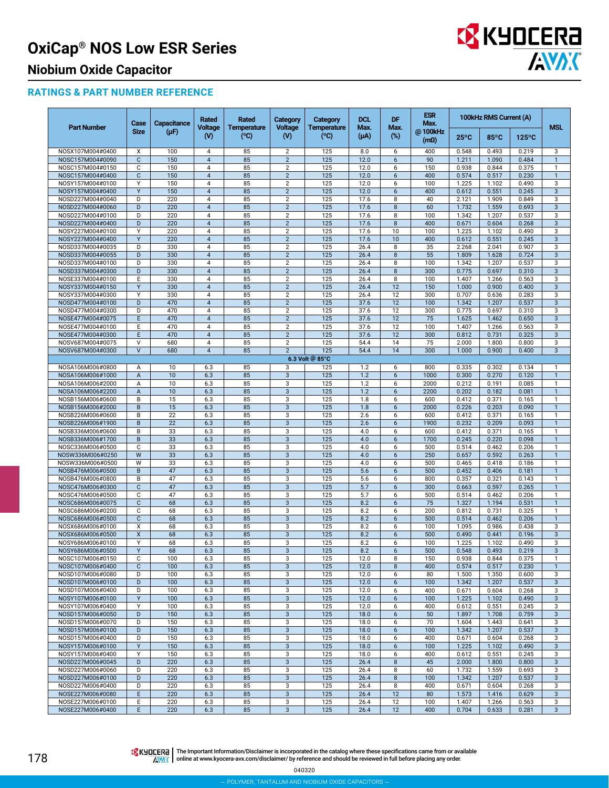

# **Niobium Oxide Capacitor**

#### **RATINGS & PART NUMBER REFERENCE**

|                                      | Case                      | Capacitance     | Rated                            | Rated                      | Category                         | Category                   | <b>DCL</b><br>Max. | DF                  | <b>ESR</b><br>Max.     | 100kHz RMS Current (A) |                |                 |                              |
|--------------------------------------|---------------------------|-----------------|----------------------------------|----------------------------|----------------------------------|----------------------------|--------------------|---------------------|------------------------|------------------------|----------------|-----------------|------------------------------|
| <b>Part Number</b>                   | <b>Size</b>               | $(\mu F)$       | <b>Voltage</b><br>$\mathbf{w}$   | <b>Temperature</b><br>(°C) | <b>Voltage</b><br>$\mathsf{W}$   | <b>Temperature</b><br>(°C) | $(\mu A)$          | Max.<br>$(\%)$      | @100kHz<br>$(m\Omega)$ | $25^{\circ}$ C         | 85°C           | $125^{\circ}$ C | <b>MSL</b>                   |
| NOSX107M004#0400                     | X                         | 100             | $\overline{4}$                   | 85                         | $\overline{c}$                   | 125                        | 8.0                | 6                   | 400                    | 0.548                  | 0.493          | 0.219           | 3                            |
| NOSC157M004#0090                     | $\mathbf{C}$              | 150             | $\overline{4}$                   | 85                         | $\overline{2}$                   | 125                        | 12.0               | 6                   | 90                     | 1.211                  | 1.090          | 0.484           | $\overline{1}$               |
| NOSC157M004#0150<br>NOSC157M004#0400 | C<br>C                    | 150<br>150      | $\overline{4}$<br>$\overline{4}$ | 85<br>85                   | $\overline{2}$<br>$\overline{c}$ | 125<br>125                 | 12.0<br>12.0       | 6<br>6              | 150<br>400             | 0.938<br>0.574         | 0.844<br>0.517 | 0.375<br>0.230  | $\mathbf{1}$<br>$\mathbf{1}$ |
| NOSY157M004#0100                     | Υ                         | 150             | $\overline{4}$                   | 85                         | $\overline{2}$                   | 125                        | 12.0               | 6                   | 100                    | 1.225                  | 1.102          | 0.490           | 3                            |
| NOSY157M004#0400                     | Y                         | 150             | $\overline{4}$                   | 85                         | $\overline{2}$                   | 125                        | 12.0               | 6                   | 400                    | 0.612                  | 0.551          | 0.245           | 3                            |
| NOSD227M004#0040                     | D                         | 220             | $\overline{4}$                   | 85                         | $\overline{c}$                   | 125                        | 17.6               | 8                   | 40                     | 2.121                  | 1.909          | 0.849           | 3                            |
| NOSD227M004#0060                     | D                         | 220             | $\overline{4}$                   | 85                         | $\overline{2}$                   | 125                        | 17.6               | 8                   | 60                     | 1.732                  | 1.559          | 0.693           | 3                            |
| NOSD227M004#0100                     | D                         | 220             | $\overline{4}$                   | 85                         | $\overline{2}$                   | 125                        | 17.6               | 8                   | 100                    | 1.342                  | 1.207          | 0.537           | 3                            |
| NOSD227M004#0400                     | D                         | 220             | $\overline{4}$                   | 85                         | $\overline{c}$                   | 125                        | 17.6               | 8                   | 400                    | 0.671                  | 0.604          | 0.268           | 3                            |
| NOSY227M004#0100                     | Υ                         | 220             | $\overline{4}$                   | 85                         | $\overline{2}$                   | 125                        | 17.6               | 10                  | 100                    | 1.225                  | 1.102          | 0.490           | 3                            |
| NOSY227M004#0400                     | Y                         | 220             | $\overline{4}$                   | 85                         | $\overline{2}$                   | 125                        | 17.6<br>26.4       | 10                  | 400                    | 0.612                  | 0.551<br>2.041 | 0.245<br>0.907  | 3                            |
| NOSD337M004#0035<br>NOSD337M004#0055 | D<br>D                    | 330<br>330      | $\overline{4}$<br>$\overline{4}$ | 85<br>85                   | $\overline{2}$<br>$\overline{2}$ | 125<br>125                 | 26.4               | 8<br>8              | 35<br>55               | 2.268<br>1.809         | 1.628          | 0.724           | 3<br>3                       |
| NOSD337M004#0100                     | D                         | 330             | $\overline{4}$                   | 85                         | $\overline{2}$                   | 125                        | 26.4               | 8                   | 100                    | 1.342                  | 1.207          | 0.537           | 3                            |
| NOSD337M004#0300                     | D                         | 330             | $\overline{4}$                   | 85                         | $\overline{2}$                   | 125                        | 26.4               | 8                   | 300                    | 0.775                  | 0.697          | 0.310           | 3                            |
| NOSE337M004#0100                     | E                         | 330             | $\overline{4}$                   | 85                         | $\overline{2}$                   | 125                        | 26.4               | 8                   | 100                    | 1.407                  | 1.266          | 0.563           | 3                            |
| NOSY337M004#0150                     | Y                         | 330             | $\overline{4}$                   | 85                         | $\overline{2}$                   | 125                        | 26.4               | 12                  | 150                    | 1.000                  | 0.900          | 0.400           | 3                            |
| NOSY337M004#0300                     | Υ                         | 330             | $\overline{4}$                   | 85                         | $\overline{2}$                   | 125                        | 26.4               | 12                  | 300                    | 0.707                  | 0.636          | 0.283           | 3                            |
| NOSD477M004#0100                     | D                         | 470             | $\overline{4}$                   | 85                         | $\overline{2}$                   | 125                        | 37.6               | 12                  | 100                    | 1.342                  | 1.207          | 0.537           | 3                            |
| NOSD477M004#0300                     | D                         | 470             | 4                                | 85                         | $\overline{2}$                   | 125                        | 37.6               | 12                  | 300                    | 0.775                  | 0.697          | 0.310           | 3                            |
| NOSE477M004#0075                     | E                         | 470             | $\overline{\mathbf{4}}$          | 85                         | $\sqrt{2}$                       | 125                        | 37.6               | 12                  | 75                     | 1.625                  | 1.462          | 0.650           | 3                            |
| NOSE477M004#0100                     | E                         | 470             | $\overline{4}$                   | 85                         | $\overline{2}$                   | 125                        | 37.6               | 12                  | 100                    | 1.407                  | 1.266          | 0.563           | 3                            |
| NOSE477M004#0300                     | E<br>V                    | 470             | $\overline{4}$                   | 85                         | $\overline{2}$                   | 125<br>125                 | 37.6               | 12                  | 300<br>$\overline{75}$ | 0.812                  | 0.731          | 0.325           | 3                            |
| NOSV687M004#0075<br>NOSV687M004#0300 | $\vee$                    | 680<br>680      | $\overline{4}$<br>$\overline{4}$ | 85<br>85                   | $\overline{2}$<br>$\overline{2}$ | 125                        | 54.4<br>54.4       | 14<br>14            | 300                    | 2.000<br>1.000         | 1.800<br>0.900 | 0.800<br>0.400  | 3<br>$\overline{3}$          |
|                                      |                           |                 |                                  |                            |                                  | 6.3 Volt @ 85°C            |                    |                     |                        |                        |                |                 |                              |
| NOSA106M006#0800                     |                           | 10              | 6.3                              | 85                         | 3                                | 125                        | 1.2                | 6                   | 800                    | 0.335                  | 0.302          | 0.134           | $\mathbf{1}$                 |
| NOSA106M006#1000                     | Α<br>A                    | 10              | 6.3                              | 85                         | 3                                | 125                        | 1.2                | 6                   | 1000                   | 0.300                  | 0.270          | 0.120           | $\overline{1}$               |
| NOSA106M006#2000                     | А                         | 10              | 6.3                              | 85                         | 3                                | 125                        | 1.2                | 6                   | 2000                   | 0.212                  | 0.191          | 0.085           | $\mathbf{1}$                 |
| NOSA106M006#2200                     | A                         | 10              | 6.3                              | 85                         | $\sqrt{3}$                       | 125                        | 1.2                | 6                   | 2200                   | 0.202                  | 0.182          | 0.081           | $\mathbf{1}$                 |
| NOSB156M006#0600                     | B                         | 15              | 6.3                              | 85                         | $\overline{3}$                   | 125                        | 1.8                | 6                   | 600                    | 0.412                  | 0.371          | 0.165           | $\mathbf{1}$                 |
| NOSB156M006#2000                     | B                         | 15              | 6.3                              | 85                         | 3                                | 125                        | 1.8                | $6\phantom{1}$      | 2000                   | 0.226                  | 0.203          | 0.090           | $\mathbf{1}$                 |
| NOSB226M006#0600                     | B                         | 22              | 6.3                              | 85                         | 3                                | 125                        | 2.6                | 6                   | 600                    | 0.412                  | 0.371          | 0.165           | $\mathbf{1}$                 |
| NOSB226M006#1900                     | B                         | $\overline{22}$ | 6.3                              | 85                         | $\overline{3}$                   | 125                        | 2.6                | 6                   | 1900                   | 0.232                  | 0.209          | 0.093           | $\overline{1}$               |
| NOSB336M006#0600                     | B                         | 33              | 6.3                              | 85                         | 3                                | 125                        | 4.0                | 6                   | 600                    | 0.412                  | 0.371          | 0.165           | $\mathbf{1}$                 |
| NOSB336M006#1700                     | B                         | 33              | 6.3                              | 85                         | $\sqrt{3}$                       | 125                        | 4.0                | 6                   | 1700                   | 0.245                  | 0.220          | 0.098           | $\mathbf{1}$                 |
| NOSC336M006#0500                     | C                         | 33              | 6.3                              | 85                         | $\overline{3}$                   | 125                        | 4.0                | 6                   | 500                    | 0.514                  | 0.462          | 0.206           | $\mathbf{1}$                 |
| NOSW336M006#0250<br>NOSW336M006#0500 | W<br>W                    | 33<br>33        | 6.3<br>6.3                       | 85<br>85                   | 3<br>3                           | 125<br>125                 | 4.0<br>4.0         | $6\phantom{1}$<br>6 | 250<br>500             | 0.657<br>0.465         | 0.592<br>0.418 | 0.263<br>0.186  | $\mathbf{1}$<br>$\mathbf{1}$ |
| NOSB476M006#0500                     | B                         | 47              | 6.3                              | 85                         | $\overline{3}$                   | 125                        | 5.6                | 6                   | 500                    | 0.452                  | 0.406          | 0.181           | $\overline{1}$               |
| NOSB476M006#0800                     | B                         | 47              | 6.3                              | 85                         | 3                                | 125                        | 5.6                | 6                   | 800                    | 0.357                  | 0.321          | 0.143           | $\mathbf{1}$                 |
| NOSC476M006#0300                     | C                         | 47              | 6.3                              | 85                         | $\sqrt{3}$                       | 125                        | 5.7                | 6                   | 300                    | 0.663                  | 0.597          | 0.265           | $\mathbf{1}$                 |
| NOSC476M006#0500                     | C                         | 47              | 6.3                              | 85                         | $\overline{3}$                   | 125                        | 5.7                | 6                   | 500                    | 0.514                  | 0.462          | 0.206           | $\mathbf{1}$                 |
| NOSC686M006#0075                     | C                         | 68              | 6.3                              | 85                         | 3                                | 125                        | 8.2                | 6                   | 75                     | 1.327                  | 1.194          | 0.531           | $\mathbf{1}$                 |
| NOSC686M006#0200                     | C                         | 68              | 6.3                              | 85                         | 3                                | 125                        | 8.2                | 6                   | 200                    | 0.812                  | 0.731          | 0.325           | $\mathbf{1}$                 |
| NOSC686M006#0500                     | C                         | 68              | 6.3                              | 85                         | $\overline{3}$                   | 125                        | 8.2                | 6                   | 500                    | 0.514                  | 0.462          | 0.206           | $\overline{1}$               |
| NOSX686M006#0100                     | X                         | 68              | 6.3                              | 85                         | 3                                | 125                        | 8.2                | 6                   | 100                    | 1.095                  | 0.986          | 0.438           | 3                            |
| NOSX686M006#0500                     | $\boldsymbol{\mathsf{x}}$ | 68              | 6.3                              | 85                         | 3                                | 125                        | 8.2                | 6                   | 500                    | 0.490                  | 0.441          | 0.196           | 3                            |
| NOSY686M006#0100                     | Υ                         | 68              | 6.3                              | 85                         | $\overline{3}$                   | 125                        | 8.2                | 6                   | 100                    | 1.225                  | 1.102          | 0.490           | 3                            |
| NOSY686M006#0500                     | Y                         | 68              | 6.3                              | 85                         | 3                                | 125                        | 8.2                | 6                   | 500                    | 0.548                  | 0.493          | 0.219           | $\mathbf{3}$                 |
| NOSC107M006#0150<br>NOSC107M006#0400 | С<br>$\mathbf{C}$         | 100<br>100      | 6.3<br>6.3                       | 85<br>85                   | 3<br>3                           | 125<br>125                 | 12.0<br>12.0       | 8<br>8              | 150<br>400             | 0.938<br>0.574         | 0.844<br>0.517 | 0.375<br>0.230  | -1<br>$\overline{1}$         |
| NOSD107M006#0080                     | D                         | 100             | 6.3                              | 85                         | 3                                | 125                        | 12.0               | 6                   | 80                     | 1.500                  | 1.350          | 0.600           | 3                            |
| NOSD107M006#0100                     | D                         | 100             | 6.3                              | 85                         | $\ensuremath{\mathsf{3}}$        | 125                        | 12.0               | 6                   | 100                    | 1.342                  | 1.207          | 0.537           | 3                            |
| NOSD107M006#0400                     | D                         | 100             | 6.3                              | 85                         | 3                                | 125                        | 12.0               | 6                   | 400                    | 0.671                  | 0.604          | 0.268           | 3                            |
| NOSY107M006#0100                     | Υ                         | 100             | 6.3                              | 85                         | 3                                | 125                        | 12.0               | 6                   | 100                    | 1.225                  | 1.102          | 0.490           | 3                            |
| NOSY107M006#0400                     | Υ                         | 100             | 6.3                              | 85                         | 3                                | 125                        | 12.0               | 6                   | 400                    | 0.612                  | 0.551          | 0.245           | 3                            |
| NOSD157M006#0050                     | D                         | 150             | 6.3                              | 85                         | 3                                | 125                        | 18.0               | 6                   | 50                     | 1.897                  | 1.708          | 0.759           | 3                            |
| NOSD157M006#0070                     | D                         | 150             | 6.3                              | 85                         | 3                                | 125                        | 18.0               | 6                   | 70                     | 1.604                  | 1.443          | 0.641           | 3                            |
| NOSD157M006#0100                     | D                         | 150             | 6.3                              | 85                         | $\ensuremath{\mathsf{3}}$        | 125                        | 18.0               | 6                   | 100                    | 1.342                  | 1.207          | 0.537           | 3                            |
| NOSD157M006#0400                     | D                         | 150             | 6.3                              | 85                         | 3                                | 125                        | 18.0               | 6                   | 400                    | 0.671                  | 0.604          | 0.268           | 3                            |
| NOSY157M006#0100                     | Υ                         | 150             | 6.3                              | 85                         | $\ensuremath{\mathsf{3}}$        | 125                        | 18.0               | 6                   | 100                    | 1.225                  | 1.102          | 0.490           | 3                            |
| NOSY157M006#0400                     | Υ                         | 150             | 6.3                              | 85                         | 3                                | 125                        | 18.0               | 6                   | 400                    | 0.612                  | 0.551          | 0.245           | 3                            |
| NOSD227M006#0045<br>NOSD227M006#0060 | D                         | 220             | 6.3                              | 85                         | 3                                | 125                        | 26.4               | 8                   | 45                     | 2.000                  | 1.800          | 0.800           | 3                            |
| NOSD227M006#0100                     | D<br>D                    | 220<br>220      | 6.3                              | 85<br>85                   | 3<br>$\ensuremath{\mathsf{3}}$   | 125<br>125                 | 26.4<br>26.4       | 8<br>8              | 60<br>100              | 1.732<br>1.342         | 1.559<br>1.207 | 0.693<br>0.537  | 3<br>3                       |
| NOSD227M006#0400                     | D                         | 220             | 6.3<br>6.3                       | 85                         | 3                                | 125                        | 26.4               | 8                   | 400                    | 0.671                  | 0.604          | 0.268           | 3                            |
| NOSE227M006#0080                     | E                         | 220             | 6.3                              | 85                         | $\ensuremath{\mathsf{3}}$        | 125                        | 26.4               | 12                  | 80                     | 1.573                  | 1.416          | 0.629           | 3                            |
| NOSE227M006#0100                     | Ε                         | 220             | 6.3                              | 85                         | 3                                | 125                        | 26.4               | 12                  | 100                    | 1.407                  | 1.266          | 0.563           | 3                            |
| NOSE227M006#0400                     | E                         | 220             | 6.3                              | 85                         | 3                                | 125                        | 26.4               | 12                  | 400                    | 0.704                  | 0.633          | 0.281           | $\mathbf{3}$                 |
|                                      |                           |                 |                                  |                            |                                  |                            |                    |                     |                        |                        |                |                 |                              |

178

The Important Information/Disclaimer is incorporated in the catalog where these specifications came from or available<br>online at [www.kyocera-avx.com/disclaimer/](http://www.avx.com/disclaimer/) by reference and should be reviewed in full before placing any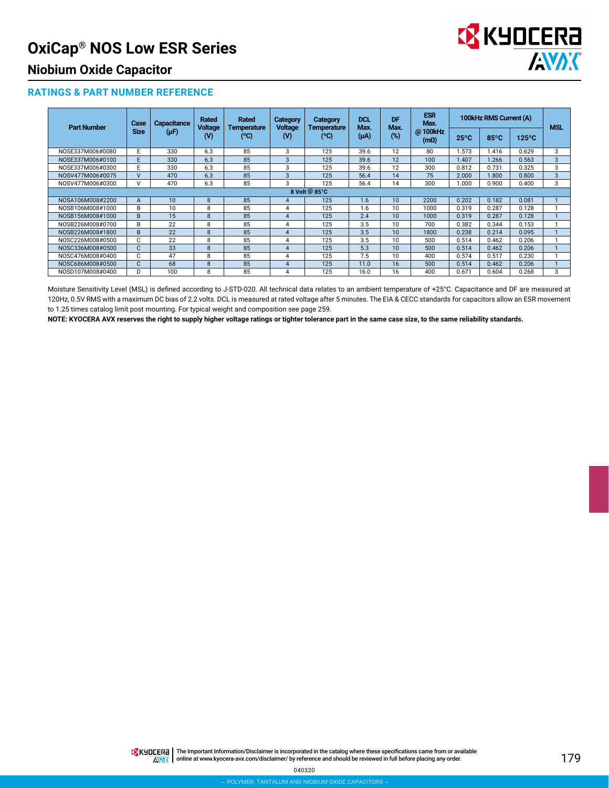

### **Niobium Oxide Capacitor**

#### **RATINGS & PART NUMBER REFERENCE**

| <b>Part Number</b> | Case          | Capacitance<br>$(\mu F)$ | Rated<br><b>Voltage</b> | Rated<br><b>Temperature</b><br>(°C) | <b>Category</b><br><b>Voltage</b><br>(V) | Category<br><b>Temperature</b> | <b>DCL</b><br>Max. | DF<br>Max. | <b>ESR</b><br>Max.     | 100kHz RMS Current (A) |                |                 | <b>MSL</b> |
|--------------------|---------------|--------------------------|-------------------------|-------------------------------------|------------------------------------------|--------------------------------|--------------------|------------|------------------------|------------------------|----------------|-----------------|------------|
|                    | <b>Size</b>   |                          | (V)                     |                                     |                                          | (°C)                           | (µA)               | (%)        | @100kHz<br>$(m\Omega)$ | $25^{\circ}$ C         | $85^{\circ}$ C | $125^{\circ}$ C |            |
| NOSE337M006#0080   | E             | 330                      | 6.3                     | 85                                  | 3                                        | 125                            | 39.6               | 12         | 80                     | 1.573                  | 1.416          | 0.629           | 3          |
| NOSE337M006#0100   | E.            | 330                      | 6.3                     | 85                                  | 3                                        | 125                            | 39.6               | 12         | 100                    | 1.407                  | .266           | 0.563           | 3          |
| NOSE337M006#0300   | E             | 330                      | 6.3                     | 85                                  | 3                                        | 125                            | 39.6               | 12         | 300                    | 0.812                  | 0.731          | 0.325           | 3          |
| NOSV477M006#0075   | $\mathsf{V}$  | 470                      | 6.3                     | 85                                  | 3                                        | 125                            | 56.4               | 14         | 75                     | 2.000                  | 1.800          | 0.800           | 3          |
| NOSV477M006#0300   | $\mathsf{V}$  | 470                      | 6.3                     | 85                                  | 3                                        | 125                            | 56.4               | 14         | 300                    | 1.000                  | 0.900          | 0.400           | 3          |
|                    | 8 Volt @ 85°C |                          |                         |                                     |                                          |                                |                    |            |                        |                        |                |                 |            |
| NOSA106M008#2200   | A             | 10                       | 8                       | 85                                  | 4                                        | 125                            | 1.6                | 10         | 2200                   | 0.202                  | 0.182          | 0.081           |            |
| NOSB106M008#1000   | B             | 10                       | 8                       | 85                                  | 4                                        | 125                            | 1.6                | 10         | 1000                   | 0.319                  | 0.287          | 0.128           |            |
| NOSB156M008#1000   | B             | 15                       | 8                       | 85                                  | 4                                        | 125                            | 2.4                | 10         | 1000                   | 0.319                  | 0.287          | 0.128           |            |
| NOSB226M008#0700   | B             | 22                       | 8                       | 85                                  | 4                                        | 125                            | 3.5                | 10         | 700                    | 0.382                  | 0.344          | 0.153           |            |
| NOSB226M008#1800   | B             | 22                       | 8                       | 85                                  | 4                                        | 125                            | 3.5                | 10         | 1800                   | 0.238                  | 0.214          | 0.095           |            |
| NOSC226M008#0500   | C             | 22                       | 8                       | 85                                  | 4                                        | 125                            | 3.5                | 10         | 500                    | 0.514                  | 0.462          | 0.206           |            |
| NOSC336M008#0500   | $\mathsf{C}$  | 33                       | 8                       | 85                                  | $\overline{4}$                           | 125                            | 5.3                | 10         | 500                    | 0.514                  | 0.462          | 0.206           |            |
| NOSC476M008#0400   | C             | 47                       | 8                       | 85                                  | 4                                        | 125                            | 7.5                | 10         | 400                    | 0.574                  | 0.517          | 0.230           |            |
| NOSC686M008#0500   | $\mathbf{C}$  | 68                       | 8                       | 85                                  | 4                                        | 125                            | 11.0               | 16         | 500                    | 0.514                  | 0.462          | 0.206           |            |
| NOSD107M008#0400   | D             | 100                      | 8                       | 85                                  | 4                                        | 125                            | 16.0               | 16         | 400                    | 0.671                  | 0.604          | 0.268           | 3          |

Moisture Sensitivity Level (MSL) is defined according to J-STD-020. All technical data relates to an ambient temperature of +25°C. Capacitance and DF are measured at 120Hz, 0.5V RMS with a maximum DC bias of 2.2 volts. DCL is measured at rated voltage after 5 minutes. The EIA & CECC standards for capacitors allow an ESR movement to 1.25 times catalog limit post mounting. For typical weight and composition see page 259.

**NOTE: KYOCERA AVX reserves the right to supply higher voltage ratings or tighter tolerance part in the same case size, to the same reliability standards.**

THE Important Information/Disclaimer is incorporated in the catalog where these specifications came from or available **AVAK** online at [www.kyocera-avx.com/disclaimer/](http://www.avx.com/disclaimer/) by reference and should be reviewed in full before placing any order.

040320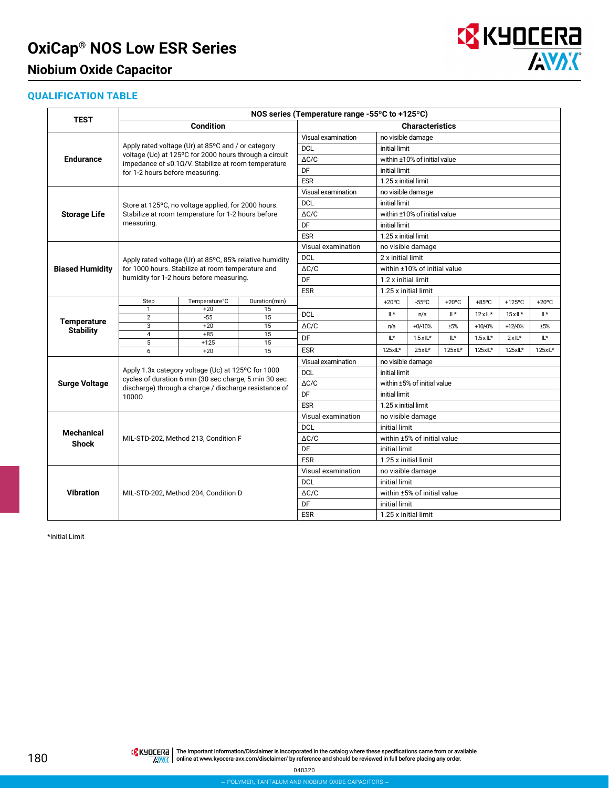### **Niobium Oxide Capacitor**



### **QUALIFICATION TABLE**

|                                                                                                                                             | NOS series (Temperature range -55°C to +125°C) |                                                                                                                     |               |                                  |                                           |                              |                   |                   |          |                 |  |  |
|---------------------------------------------------------------------------------------------------------------------------------------------|------------------------------------------------|---------------------------------------------------------------------------------------------------------------------|---------------|----------------------------------|-------------------------------------------|------------------------------|-------------------|-------------------|----------|-----------------|--|--|
| TEST<br><b>Endurance</b><br><b>Storage Life</b><br><b>Biased Humidity</b><br><b>Temperature</b><br><b>Stability</b><br><b>Surge Voltage</b> |                                                | <b>Condition</b>                                                                                                    |               | <b>Characteristics</b>           |                                           |                              |                   |                   |          |                 |  |  |
|                                                                                                                                             |                                                |                                                                                                                     |               | Visual examination               |                                           | no visible damage            |                   |                   |          |                 |  |  |
|                                                                                                                                             |                                                | Apply rated voltage (Ur) at 85°C and / or category                                                                  |               | <b>DCL</b>                       |                                           | initial limit                |                   |                   |          |                 |  |  |
|                                                                                                                                             |                                                | voltage (Uc) at 125°C for 2000 hours through a circuit<br>impedance of $\leq$ 0.10/V. Stabilize at room temperature |               | $\Delta C/C$                     |                                           | within ±10% of initial value |                   |                   |          |                 |  |  |
|                                                                                                                                             | for 1-2 hours before measuring.                |                                                                                                                     |               | DF                               | initial limit                             |                              |                   |                   |          |                 |  |  |
|                                                                                                                                             |                                                |                                                                                                                     |               | <b>ESR</b>                       |                                           | 1.25 x initial limit         |                   |                   |          |                 |  |  |
|                                                                                                                                             |                                                |                                                                                                                     |               | Visual examination               | no visible damage                         |                              |                   |                   |          |                 |  |  |
|                                                                                                                                             |                                                | Store at 125°C, no voltage applied, for 2000 hours.                                                                 |               | <b>DCL</b>                       | initial limit                             |                              |                   |                   |          |                 |  |  |
|                                                                                                                                             |                                                | Stabilize at room temperature for 1-2 hours before                                                                  |               | $\Delta C/C$                     |                                           | within ±10% of initial value |                   |                   |          |                 |  |  |
|                                                                                                                                             | measuring.                                     |                                                                                                                     |               | DF                               | initial limit                             |                              |                   |                   |          |                 |  |  |
|                                                                                                                                             |                                                |                                                                                                                     |               | <b>ESR</b>                       |                                           | 1.25 x initial limit         |                   |                   |          |                 |  |  |
|                                                                                                                                             |                                                |                                                                                                                     |               | Visual examination               |                                           | no visible damage            |                   |                   |          |                 |  |  |
|                                                                                                                                             |                                                | Apply rated voltage (Ur) at 85°C, 85% relative humidity                                                             |               | <b>DCL</b>                       |                                           | 2 x initial limit            |                   |                   |          |                 |  |  |
|                                                                                                                                             |                                                | for 1000 hours. Stabilize at room temperature and                                                                   |               | $\Delta C/C$                     |                                           | within ±10% of initial value |                   |                   |          |                 |  |  |
|                                                                                                                                             |                                                | humidity for 1-2 hours before measuring.                                                                            |               | DF                               |                                           | 1.2 x initial limit          |                   |                   |          |                 |  |  |
|                                                                                                                                             |                                                |                                                                                                                     |               | <b>ESR</b>                       | 1.25 x initial limit                      |                              |                   |                   |          |                 |  |  |
|                                                                                                                                             | Step                                           | Temperature°C                                                                                                       | Duration(min) |                                  | $+20^{\circ}$ C                           | $-55^{\circ}$ C              | $+20^{\circ}$ C   | $+85$ °C          | +125°C   | $+20^{\circ}$ C |  |  |
|                                                                                                                                             | $\mathbf{1}$<br>$\overline{2}$                 | $+20$<br>$-55$                                                                                                      | 15<br>15      | <b>DCL</b>                       | IL*                                       | n/a                          | IL*               | $12xL*$           | $15xL*$  | IL*             |  |  |
|                                                                                                                                             | 3                                              | $+20$                                                                                                               | 15            | $\Delta C/C$                     | n/a                                       | $+0/-10%$                    | ±5%               | $+10/0%$          | $+12/0%$ | ±5%             |  |  |
|                                                                                                                                             | $\overline{4}$                                 | $+85$                                                                                                               | 15            | DF                               | ۱Ľ*                                       | $1.5 \times 1$ L*            | ۱Ľ*               | $1.5 \times 1$ L* | $2xL^*$  | IL*             |  |  |
|                                                                                                                                             | 5                                              | $+125$                                                                                                              | 15            | <b>ESR</b>                       | 1.25xL*                                   | $25xL*$                      | $1.25 \times L^*$ | 1.25xL*           | 1.25xL*  | 1.25xL*         |  |  |
|                                                                                                                                             | 6                                              | $+20$                                                                                                               | 15            |                                  |                                           |                              |                   |                   |          |                 |  |  |
|                                                                                                                                             |                                                | Apply 1.3x category voltage (Uc) at 125°C for 1000                                                                  |               | Visual examination<br><b>DCL</b> | no visible damage<br>initial limit        |                              |                   |                   |          |                 |  |  |
|                                                                                                                                             |                                                | cycles of duration 6 min (30 sec charge, 5 min 30 sec                                                               |               |                                  |                                           |                              |                   |                   |          |                 |  |  |
|                                                                                                                                             |                                                | discharge) through a charge / discharge resistance of                                                               |               | $\Delta C/C$<br>DF               |                                           | within ±5% of initial value  |                   |                   |          |                 |  |  |
| <b>Mechanical</b><br><b>Shock</b>                                                                                                           | 1000Ω                                          |                                                                                                                     |               | <b>ESR</b>                       | initial limit                             |                              |                   |                   |          |                 |  |  |
|                                                                                                                                             |                                                |                                                                                                                     |               |                                  | 1.25 x initial limit<br>no visible damage |                              |                   |                   |          |                 |  |  |
|                                                                                                                                             |                                                |                                                                                                                     |               | Visual examination               |                                           |                              |                   |                   |          |                 |  |  |
|                                                                                                                                             |                                                |                                                                                                                     |               | <b>DCL</b><br>$\Delta C/C$       | initial limit                             | within ±5% of initial value  |                   |                   |          |                 |  |  |
|                                                                                                                                             |                                                | MIL-STD-202, Method 213, Condition F                                                                                |               | DF                               |                                           |                              |                   |                   |          |                 |  |  |
|                                                                                                                                             |                                                |                                                                                                                     |               | <b>ESR</b>                       | initial limit                             |                              |                   |                   |          |                 |  |  |
|                                                                                                                                             |                                                |                                                                                                                     |               |                                  |                                           | 1.25 x initial limit         |                   |                   |          |                 |  |  |
|                                                                                                                                             |                                                |                                                                                                                     |               | Visual examination               |                                           | no visible damage            |                   |                   |          |                 |  |  |
|                                                                                                                                             |                                                |                                                                                                                     |               | <b>DCL</b><br>$\triangle$ C/C    | initial limit                             |                              |                   |                   |          |                 |  |  |
| <b>Vibration</b>                                                                                                                            |                                                | MIL-STD-202, Method 204, Condition D                                                                                |               | DF                               |                                           | within ±5% of initial value  |                   |                   |          |                 |  |  |
|                                                                                                                                             |                                                |                                                                                                                     |               |                                  | initial limit                             |                              |                   |                   |          |                 |  |  |
|                                                                                                                                             |                                                |                                                                                                                     |               | <b>ESR</b>                       |                                           | 1.25 x initial limit         |                   |                   |          |                 |  |  |

\*Initial Limit

040320